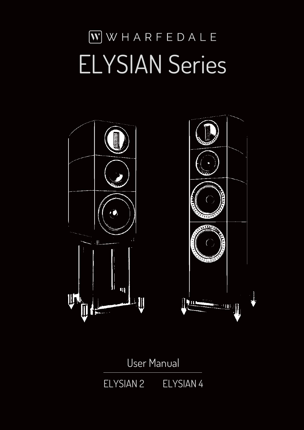# WWHARFEDALE ELYSIAN Series



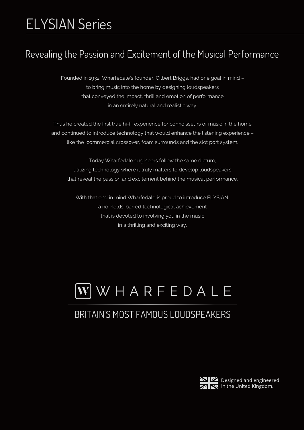## ELYSIAN Series

#### Revealing the Passion and Excitement of the Musical Performance

Founded in 1932, Wharfedale's founder, Gilbert Briggs, had one goal in mind – to bring music into the home by designing loudspeakers that conveyed the impact, thrill and emotion of performance in an entirely natural and realistic way.

Thus he created the first true hi-fi experience for connoisseurs of music in the home and continued to introduce technology that would enhance the listening experience – like the commercial crossover, foam surrounds and the slot port system.

Today Wharfedale engineers follow the same dictum, utilizing technology where it truly matters to develop loudspeakers that reveal the passion and excitement behind the musical performance.

With that end in mind Wharfedale is proud to introduce ELYSIAN, a no-holds-barred technological achievement that is devoted to involving you in the music in a thrilling and exciting way.

### $\bf W$  W H A R F E D A L E

#### BRITAIN'S MOST FAMOUS LOUDSPEAKERS



 $\blacktriangle$  Designed and engineered in the United Kingdom.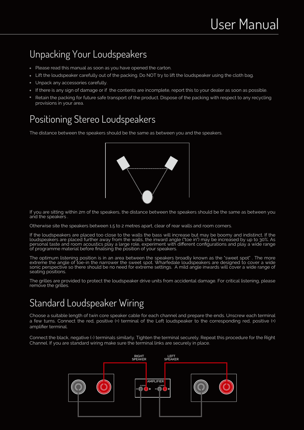#### Unpacking Your Loudspeakers

- Please read this manual as soon as you have opened the carton.
- Lift the loudspeaker carefully out of the packing. Do NOT try to lift the loudspeaker using the cloth bag.
- Unpack any accessories carefully.
- If there is any sign of damage or if the contents are incomplete, report this to your dealer as soon as possible.
- Retain the packing for future safe transport of the product. Dispose of the packing with respect to any recycling provisions in your area.

#### Positioning Stereo Loudspeakers

The distance between the speakers should be the same as between you and the speakers.



If you are sitting within 2m of the speakers, the distance between the speakers should be the same as between you and the speakers .

Otherwise site the speakers between 1.5 to 2 metres apart, clear of rear walls and room corners.

If the loudspeakers are placed too close to the walls the bass will increase but may be boomy and indistinct. If the loudspeakers are placed further away from the walls, the inward angle ("toe in") may be increased by up to 30%. As personal taste and room acoustics play a large role, experiment with different configurations and play a wide range of programme material before finalising the position of your speakers.

The optimum listening position is in an area between the speakers broadly known as the "sweet spot" . The more extreme the angle of toe-in the narrower the sweet spot. Wharfedale loudspeakers are designed to cover a wide sonic perspective so there should be no need for extreme settings. A mild angle inwards will cover a wide range of seating positions.

The grilles are provided to protect the loudspeaker drive units from accidental damage. For critical listening, please remove the grilles.

#### Standard Loudspeaker Wiring

Choose a suitable length of twin core speaker cable for each channel and prepare the ends. Unscrew each terminal a few turns. Connect the red, positive (+) terminal of the Left loudspeaker to the corresponding red, positive (+) amplifier terminal.

Connect the black, negative (-) terminals similarly. Tighten the terminal securely. Repeat this procedure for the Right Channel. If you are standard wiring make sure the terminal links are securely in place.